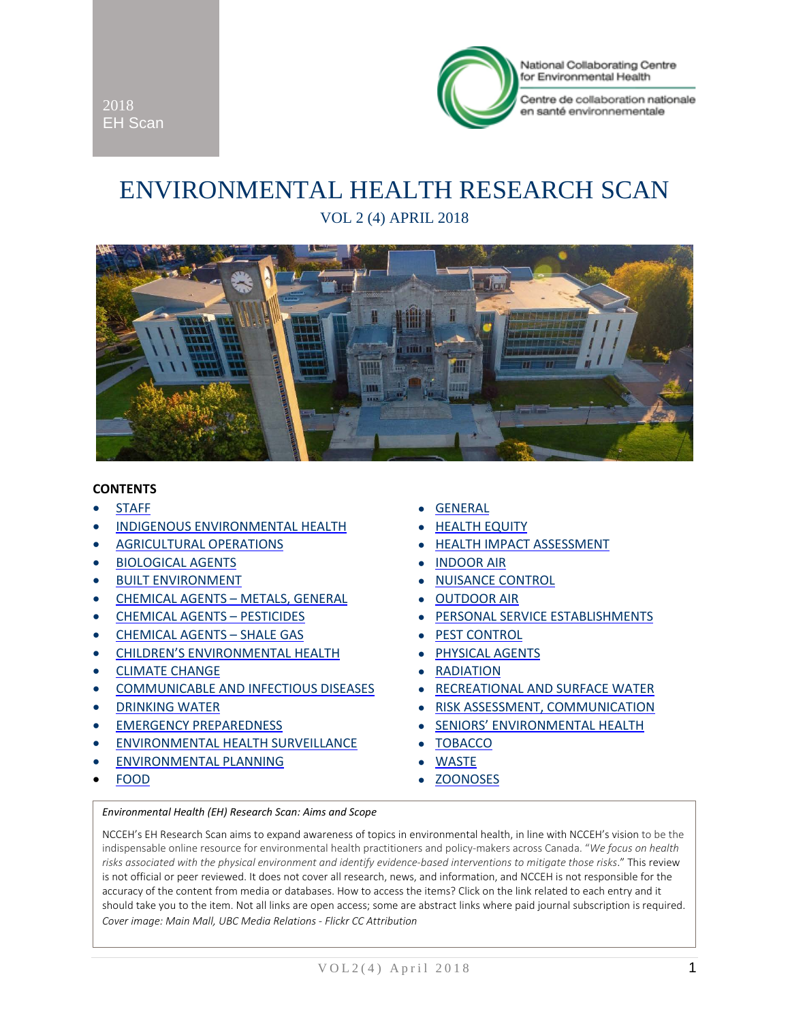

Centre de collaboration nationale en santé environnementale

# ENVIRONMENTAL HEALTH RESEARCH SCAN VOL 2 (4) APRIL 2018



#### **CONTENTS**

2018 EH Scan

- 
- INDIGENOUS [ENVIRONMENTAL HEALTH](#page-3-1) **•** [HEALTH EQUITY](#page-8-1)
- 
- [BIOLOGICAL AGENTS](#page-4-1) [INDOOR AIR](#page-9-1)
- [BUILT ENVIRONMENT](#page-4-2)  **[NUISANCE CONTROL](#page-9-2)**
- [CHEMICAL AGENTS –](#page-4-3) METALS, GENERAL [OUTDOOR AIR](#page-9-3)
- 
- [CHEMICAL AGENTS –](#page-5-1) SHALE GAS [PEST CONTROL](#page-10-1)
- [CHILDREN'S ENVIRONMENTAL HEALTH](#page-5-2) [PHYSICAL AGENTS](#page-10-2)
- [CLIMATE CHANGE](#page-5-3) [RADIATION](#page-10-3)
- [COMMUNICABLE AND INFECTIOUS DISEASES](#page-6-0) [RECREATIONAL AND SURFACE WATER](#page-10-4)
- 
- 
- [ENVIRONMENTAL HEALTH SURVEILLANCE](#page-7-1) [TOBACCO](#page-11-0)
- [ENVIRONMENTAL PLANNING](#page-7-2) [WASTE](#page-11-1)
- 
- [STAFF](#page-3-0) [GENERAL](#page-8-0)
	-
- [AGRICULTURAL OPERATIONS](#page-4-0) [HEALTH IMPACT ASSESSMENT](#page-9-0)
	-
	-
	-
- [CHEMICAL AGENTS –](#page-5-0) PESTICIDES [PERSONAL SERVICE ESTABLISHMENTS](#page-10-0)
	-
	-
	-
	-
- **[DRINKING WATER](#page-6-1) COMMUNICATION [RISK ASSESSMENT, COMMUNICATION](#page-10-5)**
- [EMERGENCY PREPAREDNESS](#page-7-0) [SENIORS' ENVIRONMENTAL HEALTH](#page-10-6)
	-
	-
- [FOOD](#page-7-3) [ZOONOSES](#page-11-2)

#### *Environmental Health (EH) Research Scan: Aims and Scope*

NCCEH's EH Research Scan aims to expand awareness of topics in environmental health, in line with NCCEH's vision to be the indispensable online resource for environmental health practitioners and policy-makers across Canada. "*We focus on health risks associated with the physical environment and identify evidence-based interventions to mitigate those risks*." This review is not official or peer reviewed. It does not cover all research, news, and information, and NCCEH is not responsible for the accuracy of the content from media or databases. How to access the items? Click on the link related to each entry and it should take you to the item. Not all links are open access; some are abstract links where paid journal subscription is required. *Cover image: Main Mall, UBC Media Relations - Flickr CC Attribution*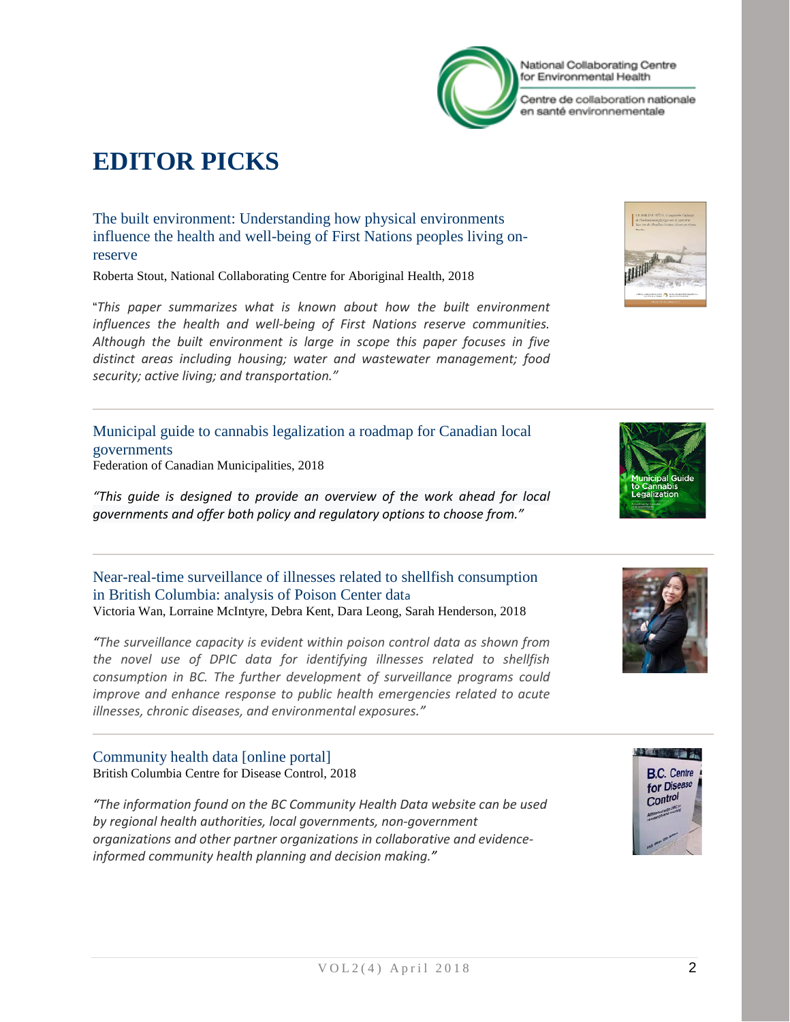# **EDITOR PICKS**

[The built environment: Understanding how physical environments](https://www.ccnsa-nccah.ca/495/The_built_environment__Understanding_how_physical_environments_influence_the_health_and_well-being_of_First_Nations_peoples_living_on-reserve_.nccah?id=236)  [influence the health and well-being of First Nations peoples living on](https://www.ccnsa-nccah.ca/495/The_built_environment__Understanding_how_physical_environments_influence_the_health_and_well-being_of_First_Nations_peoples_living_on-reserve_.nccah?id=236)[reserve](https://www.ccnsa-nccah.ca/495/The_built_environment__Understanding_how_physical_environments_influence_the_health_and_well-being_of_First_Nations_peoples_living_on-reserve_.nccah?id=236)

Roberta Stout, National Collaborating Centre for Aboriginal Health, 2018

"*This paper summarizes what is known about how the built environment influences the health and well-being of First Nations reserve communities. Although the built environment is large in scope this paper focuses in five distinct areas including housing; water and wastewater management; food security; active living; and transportation."*

[Municipal guide to cannabis legalization a roadmap for Canadian local](https://fcm.ca/documents/issues/Cannabis-Guide-EN.pdf)  [governments](https://fcm.ca/documents/issues/Cannabis-Guide-EN.pdf) Federation of Canadian Municipalities, 2018

*"This guide is designed to provide an overview of the work ahead for local governments and offer both policy and regulatory options to choose from."*

[Near-real-time surveillance of illnesses related to shellfish consumption](https://doi.org/10.2196/publichealth.8944)  [in British Columbia: analysis of Poison Center dat](https://doi.org/10.2196/publichealth.8944)a Victoria Wan, Lorraine McIntyre, Debra Kent, Dara Leong, Sarah Henderson, 2018

*"The surveillance capacity is evident within poison control data as shown from the novel use of DPIC data for identifying illnesses related to shellfish consumption in BC. The further development of surveillance programs could improve and enhance response to public health emergencies related to acute illnesses, chronic diseases, and environmental exposures."*

[Community health data \[online portal\]](http://communityhealth.phsa.ca/GetTheData/SearchByTopic) British Columbia Centre for Disease Control, 2018

*"The information found on the BC Community Health Data website can be used by regional health authorities, local governments, non-government organizations and other partner organizations in collaborative and evidenceinformed community health planning and decision making."*











National Collaborating Centre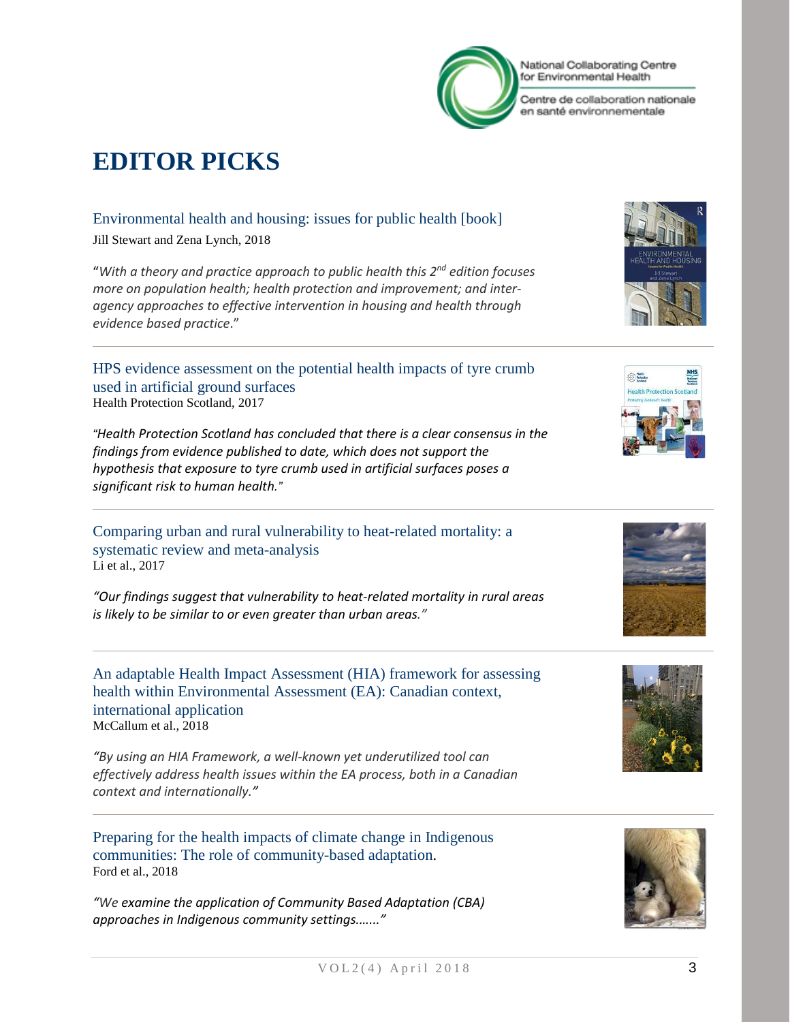

# **EDITOR PICKS**

#### [Environmental health and housing: issues for public health](https://www.routledge.com/Environmental-Health-and-Housing-Issues-for-Public-Health/Stewart-Lynch/p/book/9781138090125) [book]

Jill Stewart and Zena Lynch, 2018

"*With a theory and practice approach to public health this 2nd edition focuses more on population health; health protection and improvement; and interagency approaches to effective intervention in housing and health through evidence based practice*."

[HPS evidence assessment on the potential health impacts of tyre crumb](http://www.hps.scot.nhs.uk/resourcedocument.aspx?id=6273)  [used in artificial ground surfaces](http://www.hps.scot.nhs.uk/resourcedocument.aspx?id=6273) Health Protection Scotland, 2017

*"Health Protection Scotland has concluded that there is a clear consensus in the findings from evidence published to date, which does not support the hypothesis that exposure to tyre crumb used in artificial surfaces poses a significant risk to human health."*

[Comparing urban and rural vulnerability to heat-related mortality: a](https://norcaloa.com/journals/GEEH/GEEH-101016.pdf)  [systematic review and meta-analysis](https://norcaloa.com/journals/GEEH/GEEH-101016.pdf) Li et al., 2017

*"Our findings suggest that vulnerability to heat-related mortality in rural areas is likely to be similar to or even greater than urban areas."*

[An adaptable Health Impact Assessment \(HIA\) framework for assessing](https://www.tandfonline.com/doi/abs/10.1080/14615517.2017.1364026)  [health within Environmental Assessment \(EA\): Canadian context,](https://www.tandfonline.com/doi/abs/10.1080/14615517.2017.1364026)  [international application](https://www.tandfonline.com/doi/abs/10.1080/14615517.2017.1364026) McCallum et al., 2018

*"By using an HIA Framework, a well-known yet underutilized tool can effectively address health issues within the EA process, both in a Canadian context and internationally."*

[Preparing for the health impacts of climate change in Indigenous](https://www.sciencedirect.com/science/article/pii/S0959378016304447)  [communities: The role of community-based adaptation.](https://www.sciencedirect.com/science/article/pii/S0959378016304447) Ford et al., 2018

*"We examine the application of Community Based Adaptation (CBA) approaches in Indigenous community settings.…..."*













National Collaborating Centre for Environmental Health

Centre de collaboration nationale en santé environnementale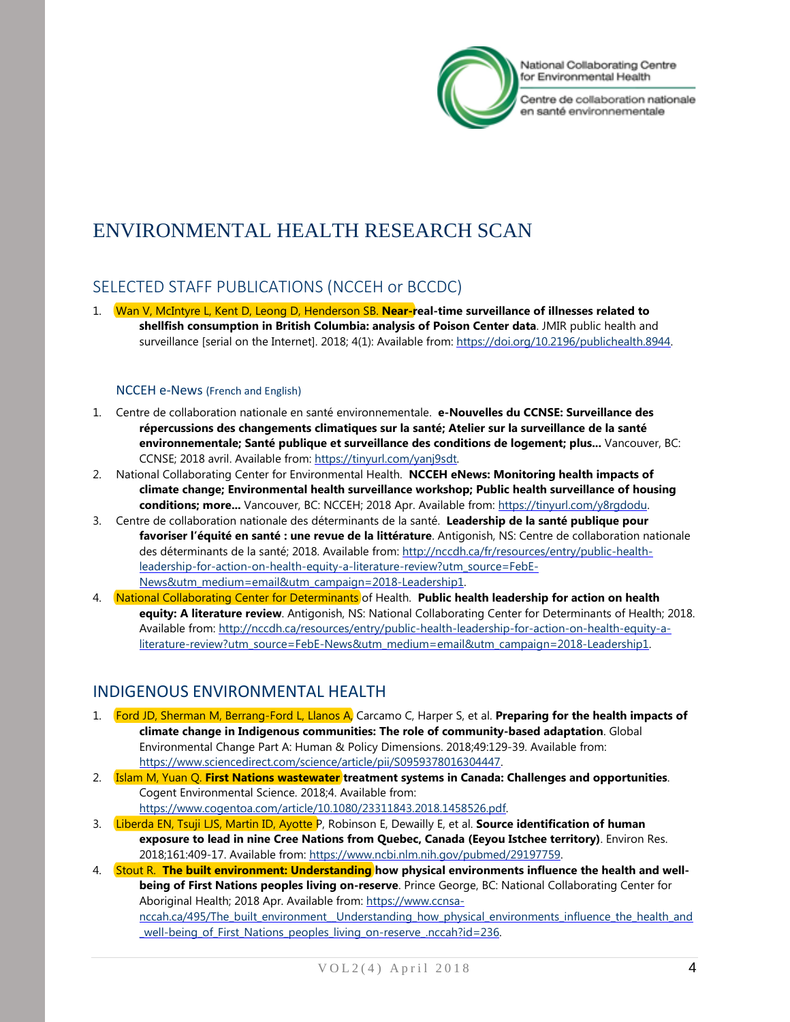

Centre de collaboration nationale en santé environnementale

# ENVIRONMENTAL HEALTH RESEARCH SCAN

# <span id="page-3-0"></span>SELECTED STAFF PUBLICATIONS (NCCEH or BCCDC)

1. Wan V, McIntyre L, Kent D, Leong D, Henderson SB. **Near-real-time surveillance of illnesses related to shellfish consumption in British Columbia: analysis of Poison Center data**. JMIR public health and surveillance [serial on the Internet]. 2018; 4(1): Available from: [https://doi.org/10.2196/publichealth.8944.](https://doi.org/10.2196/publichealth.8944)

#### NCCEH e-News (French and English)

- 1. Centre de collaboration nationale en santé environnementale. **e-Nouvelles du CCNSE: Surveillance des répercussions des changements climatiques sur la santé; Atelier sur la surveillance de la santé environnementale; Santé publique et surveillance des conditions de logement; plus...** Vancouver, BC: CCNSE; 2018 avril. Available from: [https://tinyurl.com/yanj9sdt.](https://tinyurl.com/yanj9sdt)
- 2. National Collaborating Center for Environmental Health. **NCCEH eNews: Monitoring health impacts of climate change; Environmental health surveillance workshop; Public health surveillance of housing**  conditions; more... Vancouver, BC: NCCEH; 2018 Apr. Available from: [https://tinyurl.com/y8rgdodu.](https://tinyurl.com/y8rgdodu)
- 3. Centre de collaboration nationale des déterminants de la santé. **Leadership de la santé publique pour favoriser l'équité en santé : une revue de la littérature**. Antigonish, NS: Centre de collaboration nationale des déterminants de la santé; 2018. Available from: [http://nccdh.ca/fr/resources/entry/public-health](http://nccdh.ca/fr/resources/entry/public-health-leadership-for-action-on-health-equity-a-literature-review?utm_source=FebE-News&utm_medium=email&utm_campaign=2018-Leadership1)[leadership-for-action-on-health-equity-a-literature-review?utm\\_source=FebE-](http://nccdh.ca/fr/resources/entry/public-health-leadership-for-action-on-health-equity-a-literature-review?utm_source=FebE-News&utm_medium=email&utm_campaign=2018-Leadership1)[News&utm\\_medium=email&utm\\_campaign=2018-Leadership1.](http://nccdh.ca/fr/resources/entry/public-health-leadership-for-action-on-health-equity-a-literature-review?utm_source=FebE-News&utm_medium=email&utm_campaign=2018-Leadership1)
- 4. National Collaborating Center for Determinants of Health. **Public health leadership for action on health equity: A literature review**. Antigonish, NS: National Collaborating Center for Determinants of Health; 2018. Available from[: http://nccdh.ca/resources/entry/public-health-leadership-for-action-on-health-equity-a](http://nccdh.ca/resources/entry/public-health-leadership-for-action-on-health-equity-a-literature-review?utm_source=FebE-News&utm_medium=email&utm_campaign=2018-Leadership1)[literature-review?utm\\_source=FebE-News&utm\\_medium=email&utm\\_campaign=2018-Leadership1.](http://nccdh.ca/resources/entry/public-health-leadership-for-action-on-health-equity-a-literature-review?utm_source=FebE-News&utm_medium=email&utm_campaign=2018-Leadership1)

# <span id="page-3-1"></span>INDIGENOUS ENVIRONMENTAL HEALTH

- 1. Ford JD, Sherman M, Berrang-Ford L, Llanos A, Carcamo C, Harper S, et al. **Preparing for the health impacts of climate change in Indigenous communities: The role of community-based adaptation**. Global Environmental Change Part A: Human & Policy Dimensions. 2018;49:129-39. Available from: [https://www.sciencedirect.com/science/article/pii/S0959378016304447.](https://www.sciencedirect.com/science/article/pii/S0959378016304447)
- 2. Islam M, Yuan Q. **First Nations wastewater treatment systems in Canada: Challenges and opportunities**. Cogent Environmental Science. 2018;4. Available from: [https://www.cogentoa.com/article/10.1080/23311843.2018.1458526.pdf.](https://www.cogentoa.com/article/10.1080/23311843.2018.1458526.pdf)
- 3. Liberda EN, Tsuji LJS, Martin ID, Ayotte P, Robinson E, Dewailly E, et al. **Source identification of human exposure to lead in nine Cree Nations from Quebec, Canada (Eeyou Istchee territory)**. Environ Res. 2018;161:409-17. Available from: [https://www.ncbi.nlm.nih.gov/pubmed/29197759.](https://www.ncbi.nlm.nih.gov/pubmed/29197759)
- 4. Stout R. **The built environment: Understanding how physical environments influence the health and wellbeing of First Nations peoples living on-reserve**. Prince George, BC: National Collaborating Center for Aboriginal Health; 2018 Apr. Available from: [https://www.ccnsa](https://www.ccnsa-nccah.ca/495/The_built_environment__Understanding_how_physical_environments_influence_the_health_and_well-being_of_First_Nations_peoples_living_on-reserve_.nccah?id=236)nccah.ca/495/The\_built\_environment\_Understanding\_how\_physical\_environments\_influence\_the\_health\_and well-being of First Nations peoples living on-reserve .nccah?id=236.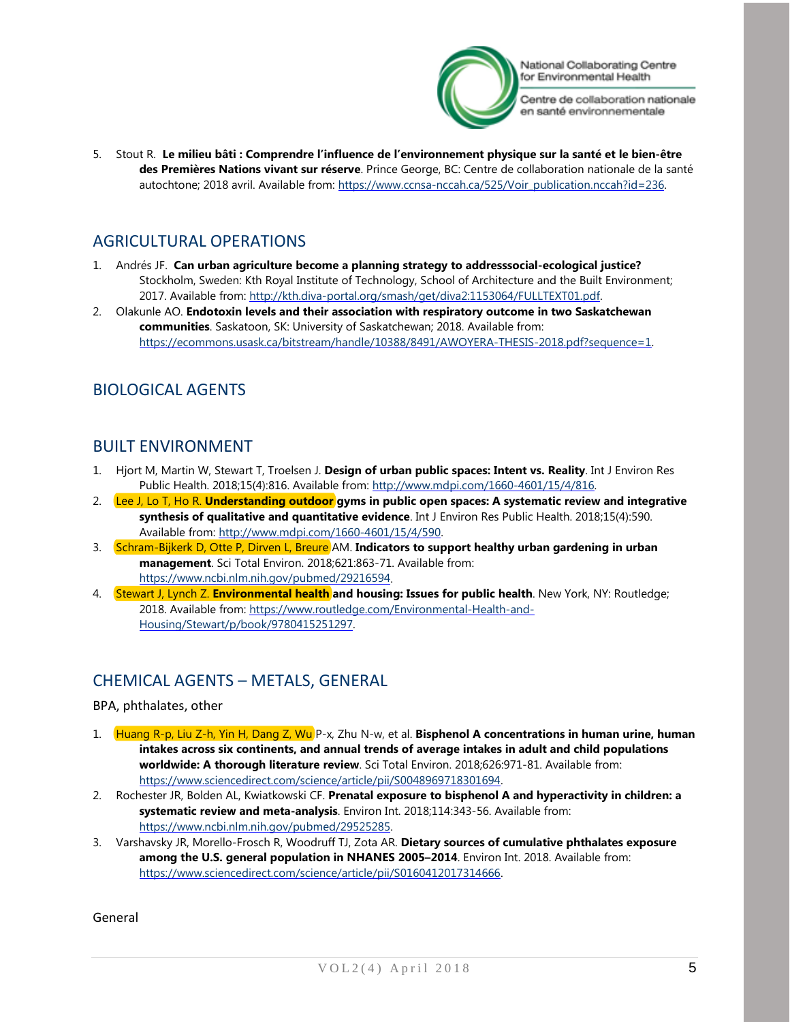

Centre de collaboration nationale en santé environnementale

5. Stout R. **Le milieu bâti : Comprendre l'influence de l'environnement physique sur la santé et le bien-être des Premières Nations vivant sur réserve**. Prince George, BC: Centre de collaboration nationale de la santé autochtone; 2018 avril. Available from: [https://www.ccnsa-nccah.ca/525/Voir\\_publication.nccah?id=236.](https://www.ccnsa-nccah.ca/525/Voir_publication.nccah?id=236)

# <span id="page-4-0"></span>AGRICULTURAL OPERATIONS

- 1. Andrés JF. **Can urban agriculture become a planning strategy to addresssocial-ecological justice?** Stockholm, Sweden: Kth Royal Institute of Technology, School of Architecture and the Built Environment; 2017. Available from: [http://kth.diva-portal.org/smash/get/diva2:1153064/FULLTEXT01.pdf.](http://kth.diva-portal.org/smash/get/diva2:1153064/FULLTEXT01.pdf)
- 2. Olakunle AO. **Endotoxin levels and their association with respiratory outcome in two Saskatchewan communities**. Saskatoon, SK: University of Saskatchewan; 2018. Available from: [https://ecommons.usask.ca/bitstream/handle/10388/8491/AWOYERA-THESIS-2018.pdf?sequence=1.](https://ecommons.usask.ca/bitstream/handle/10388/8491/AWOYERA-THESIS-2018.pdf?sequence=1)

# <span id="page-4-1"></span>BIOLOGICAL AGENTS

### <span id="page-4-2"></span>BUILT ENVIRONMENT

- 1. Hjort M, Martin W, Stewart T, Troelsen J. **Design of urban public spaces: Intent vs. Reality**. Int J Environ Res Public Health. 2018;15(4):816. Available from: [http://www.mdpi.com/1660-4601/15/4/816.](http://www.mdpi.com/1660-4601/15/4/816)
- 2. Lee J, Lo T, Ho R. **Understanding outdoor gyms in public open spaces: A systematic review and integrative synthesis of qualitative and quantitative evidence**. Int J Environ Res Public Health. 2018;15(4):590. Available from[: http://www.mdpi.com/1660-4601/15/4/590.](http://www.mdpi.com/1660-4601/15/4/590)
- 3. Schram-Bijkerk D, Otte P, Dirven L, Breure AM. Indicators to support healthy urban gardening in urban **management**. Sci Total Environ. 2018;621:863-71. Available from: [https://www.ncbi.nlm.nih.gov/pubmed/29216594.](https://www.ncbi.nlm.nih.gov/pubmed/29216594)
- 4. Stewart J, Lynch Z. **Environmental health and housing: Issues for public health**. New York, NY: Routledge; 2018. Available from: [https://www.routledge.com/Environmental-Health-and-](https://www.routledge.com/Environmental-Health-and-Housing/Stewart/p/book/9780415251297)[Housing/Stewart/p/book/9780415251297.](https://www.routledge.com/Environmental-Health-and-Housing/Stewart/p/book/9780415251297)

# <span id="page-4-3"></span>CHEMICAL AGENTS – METALS, GENERAL

#### BPA, phthalates, other

- 1. Huang R-p, Liu Z-h, Yin H, Dang Z, Wu P-x, Zhu N-w, et al. **Bisphenol A concentrations in human urine, human intakes across six continents, and annual trends of average intakes in adult and child populations worldwide: A thorough literature review**. Sci Total Environ. 2018;626:971-81. Available from: [https://www.sciencedirect.com/science/article/pii/S0048969718301694.](https://www.sciencedirect.com/science/article/pii/S0048969718301694)
- 2. Rochester JR, Bolden AL, Kwiatkowski CF. **Prenatal exposure to bisphenol A and hyperactivity in children: a systematic review and meta-analysis**. Environ Int. 2018;114:343-56. Available from: [https://www.ncbi.nlm.nih.gov/pubmed/29525285.](https://www.ncbi.nlm.nih.gov/pubmed/29525285)
- 3. Varshavsky JR, Morello-Frosch R, Woodruff TJ, Zota AR. **Dietary sources of cumulative phthalates exposure among the U.S. general population in NHANES 2005–2014**. Environ Int. 2018. Available from: [https://www.sciencedirect.com/science/article/pii/S0160412017314666.](https://www.sciencedirect.com/science/article/pii/S0160412017314666)

General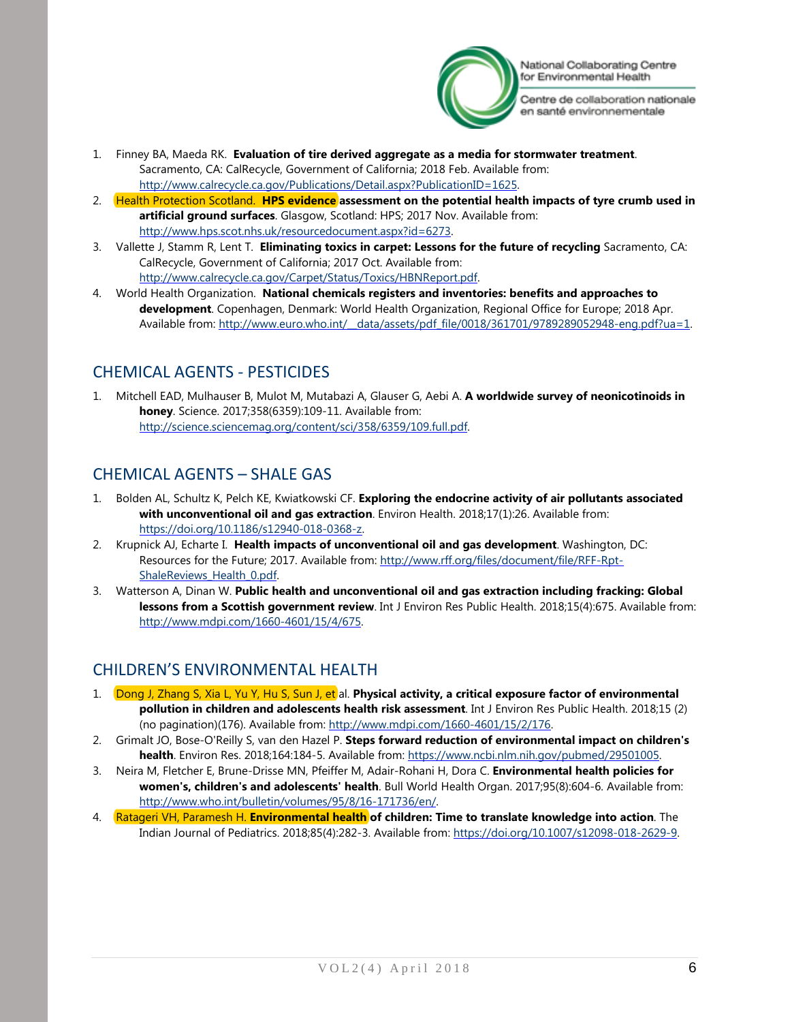

Centre de collaboration nationale en santé environnementale

- 1. Finney BA, Maeda RK. **Evaluation of tire derived aggregate as a media for stormwater treatment**. Sacramento, CA: CalRecycle, Government of California; 2018 Feb. Available from: [http://www.calrecycle.ca.gov/Publications/Detail.aspx?PublicationID=1625.](http://www.calrecycle.ca.gov/Publications/Detail.aspx?PublicationID=1625)
- 2. Health Protection Scotland. **HPS evidence assessment on the potential health impacts of tyre crumb used in artificial ground surfaces**. Glasgow, Scotland: HPS; 2017 Nov. Available from: [http://www.hps.scot.nhs.uk/resourcedocument.aspx?id=6273.](http://www.hps.scot.nhs.uk/resourcedocument.aspx?id=6273)
- 3. Vallette J, Stamm R, Lent T. **Eliminating toxics in carpet: Lessons for the future of recycling** Sacramento, CA: CalRecycle, Government of California; 2017 Oct. Available from: [http://www.calrecycle.ca.gov/Carpet/Status/Toxics/HBNReport.pdf.](http://www.calrecycle.ca.gov/Carpet/Status/Toxics/HBNReport.pdf)
- 4. World Health Organization. **National chemicals registers and inventories: benefits and approaches to development**. Copenhagen, Denmark: World Health Organization, Regional Office for Europe; 2018 Apr. Available from: http://www.euro.who.int/ data/assets/pdf file/0018/361701/9789289052948-eng.pdf?ua=1.

# <span id="page-5-0"></span>CHEMICAL AGENTS - PESTICIDES

1. Mitchell EAD, Mulhauser B, Mulot M, Mutabazi A, Glauser G, Aebi A. **A worldwide survey of neonicotinoids in honey**. Science. 2017;358(6359):109-11. Available from: [http://science.sciencemag.org/content/sci/358/6359/109.full.pdf.](http://science.sciencemag.org/content/sci/358/6359/109.full.pdf)

# <span id="page-5-1"></span>CHEMICAL AGENTS – SHALE GAS

- 1. Bolden AL, Schultz K, Pelch KE, Kwiatkowski CF. **Exploring the endocrine activity of air pollutants associated with unconventional oil and gas extraction**. Environ Health. 2018;17(1):26. Available from: [https://doi.org/10.1186/s12940-018-0368-z.](https://doi.org/10.1186/s12940-018-0368-z)
- 2. Krupnick AJ, Echarte I. **Health impacts of unconventional oil and gas development**. Washington, DC: Resources for the Future; 2017. Available from: [http://www.rff.org/files/document/file/RFF-Rpt-](http://www.rff.org/files/document/file/RFF-Rpt-ShaleReviews_Health_0.pdf)[ShaleReviews\\_Health\\_0.pdf.](http://www.rff.org/files/document/file/RFF-Rpt-ShaleReviews_Health_0.pdf)
- 3. Watterson A, Dinan W. **Public health and unconventional oil and gas extraction including fracking: Global lessons from a Scottish government review**. Int J Environ Res Public Health. 2018;15(4):675. Available from: [http://www.mdpi.com/1660-4601/15/4/675.](http://www.mdpi.com/1660-4601/15/4/675)

# <span id="page-5-2"></span>CHILDREN'S ENVIRONMENTAL HEALTH

- <span id="page-5-3"></span>1. Dong J, Zhang S, Xia L, Yu Y, Hu S, Sun J, et al. Physical activity, a critical exposure factor of environmental **pollution in children and adolescents health risk assessment**. Int J Environ Res Public Health. 2018;15 (2) (no pagination)(176). Available from: [http://www.mdpi.com/1660-4601/15/2/176.](http://www.mdpi.com/1660-4601/15/2/176)
- 2. Grimalt JO, Bose-O'Reilly S, van den Hazel P. **Steps forward reduction of environmental impact on children's health**. Environ Res. 2018;164:184-5. Available from: [https://www.ncbi.nlm.nih.gov/pubmed/29501005.](https://www.ncbi.nlm.nih.gov/pubmed/29501005)
- 3. Neira M, Fletcher E, Brune-Drisse MN, Pfeiffer M, Adair-Rohani H, Dora C. **Environmental health policies for women's, children's and adolescents' health**. Bull World Health Organ. 2017;95(8):604-6. Available from: [http://www.who.int/bulletin/volumes/95/8/16-171736/en/.](http://www.who.int/bulletin/volumes/95/8/16-171736/en/)
- 4. Ratageri VH, Paramesh H. **Environmental health of children: Time to translate knowledge into action**. The Indian Journal of Pediatrics. 2018;85(4):282-3. Available from[: https://doi.org/10.1007/s12098-018-2629-9.](https://doi.org/10.1007/s12098-018-2629-9)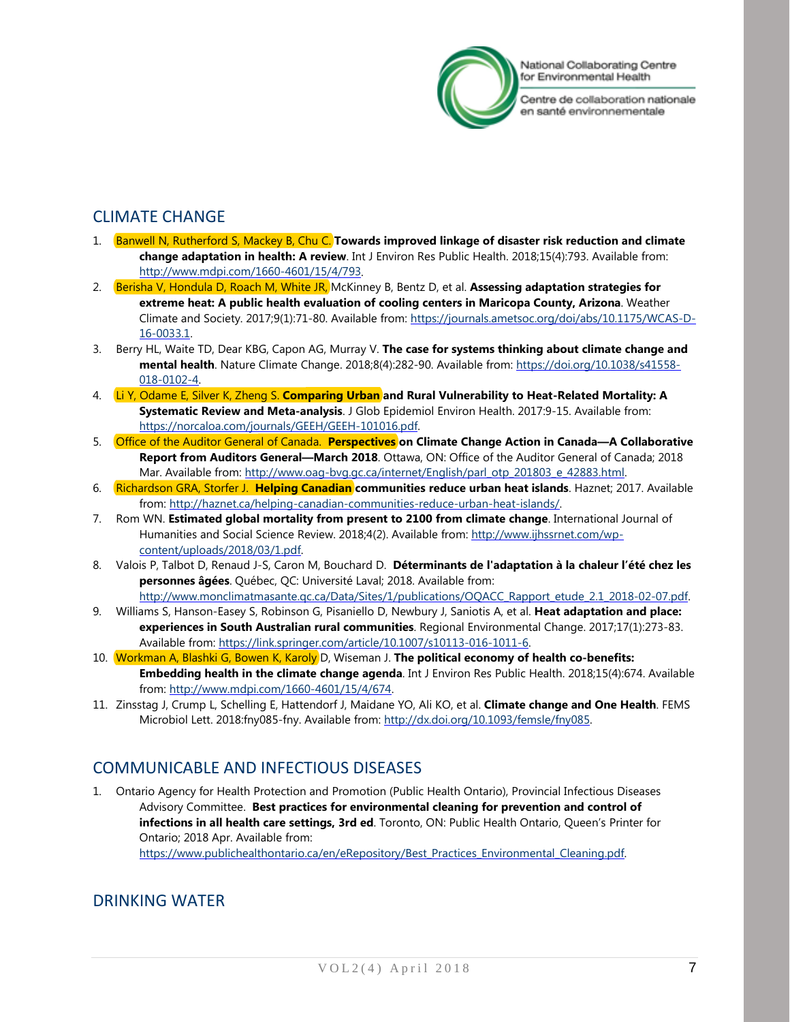

Centre de collaboration nationale en santé environnementale

# CLIMATE CHANGE

- 1. Banwell N, Rutherford S, Mackey B, Chu C. **Towards improved linkage of disaster risk reduction and climate change adaptation in health: A review**. Int J Environ Res Public Health. 2018;15(4):793. Available from: [http://www.mdpi.com/1660-4601/15/4/793.](http://www.mdpi.com/1660-4601/15/4/793)
- 2. Berisha V, Hondula D, Roach M, White JR, McKinney B, Bentz D, et al. **Assessing adaptation strategies for extreme heat: A public health evaluation of cooling centers in Maricopa County, Arizona**. Weather Climate and Society. 2017;9(1):71-80. Available from: [https://journals.ametsoc.org/doi/abs/10.1175/WCAS-D-](https://journals.ametsoc.org/doi/abs/10.1175/WCAS-D-16-0033.1)[16-0033.1.](https://journals.ametsoc.org/doi/abs/10.1175/WCAS-D-16-0033.1)
- 3. Berry HL, Waite TD, Dear KBG, Capon AG, Murray V. **The case for systems thinking about climate change and mental health**. Nature Climate Change. 2018;8(4):282-90. Available from: [https://doi.org/10.1038/s41558-](https://doi.org/10.1038/s41558-018-0102-4) [018-0102-4.](https://doi.org/10.1038/s41558-018-0102-4)
- 4. Li Y, Odame E, Silver K, Zheng S. **Comparing Urban and Rural Vulnerability to Heat-Related Mortality: A Systematic Review and Meta-analysis**. J Glob Epidemiol Environ Health. 2017:9-15. Available from: [https://norcaloa.com/journals/GEEH/GEEH-101016.pdf.](https://norcaloa.com/journals/GEEH/GEEH-101016.pdf)
- 5. Office of the Auditor General of Canada. **Perspectives on Climate Change Action in Canada—A Collaborative Report from Auditors General—March 2018**. Ottawa, ON: Office of the Auditor General of Canada; 2018 Mar. Available from: [http://www.oag-bvg.gc.ca/internet/English/parl\\_otp\\_201803\\_e\\_42883.html.](http://www.oag-bvg.gc.ca/internet/English/parl_otp_201803_e_42883.html)
- 6. Richardson GRA, Storfer J. **Helping Canadian communities reduce urban heat islands**. Haznet; 2017. Available from: [http://haznet.ca/helping-canadian-communities-reduce-urban-heat-islands/.](http://haznet.ca/helping-canadian-communities-reduce-urban-heat-islands/)
- 7. Rom WN. **Estimated global mortality from present to 2100 from climate change**. International Journal of Humanities and Social Science Review. 2018;4(2). Available from[: http://www.ijhssrnet.com/wp](http://www.ijhssrnet.com/wp-content/uploads/2018/03/1.pdf)[content/uploads/2018/03/1.pdf.](http://www.ijhssrnet.com/wp-content/uploads/2018/03/1.pdf)
- 8. Valois P, Talbot D, Renaud J-S, Caron M, Bouchard D. **Déterminants de l'adaptation à la chaleur l'été chez les personnes âgées**. Québec, QC: Université Laval; 2018. Available from: [http://www.monclimatmasante.qc.ca/Data/Sites/1/publications/OQACC\\_Rapport\\_etude\\_2.1\\_2018-02-07.pdf.](http://www.monclimatmasante.qc.ca/Data/Sites/1/publications/OQACC_Rapport_etude_2.1_2018-02-07.pdf)
- 9. Williams S, Hanson-Easey S, Robinson G, Pisaniello D, Newbury J, Saniotis A, et al. **Heat adaptation and place: experiences in South Australian rural communities**. Regional Environmental Change. 2017;17(1):273-83. Available from[: https://link.springer.com/article/10.1007/s10113-016-1011-6.](https://link.springer.com/article/10.1007/s10113-016-1011-6)
- 10. Workman A, Blashki G, Bowen K, Karoly D, Wiseman J. **The political economy of health co-benefits: Embedding health in the climate change agenda**. Int J Environ Res Public Health. 2018;15(4):674. Available from: [http://www.mdpi.com/1660-4601/15/4/674.](http://www.mdpi.com/1660-4601/15/4/674)
- 11. Zinsstag J, Crump L, Schelling E, Hattendorf J, Maidane YO, Ali KO, et al. **Climate change and One Health**. FEMS Microbiol Lett. 2018:fny085-fny. Available from: [http://dx.doi.org/10.1093/femsle/fny085.](http://dx.doi.org/10.1093/femsle/fny085)

# <span id="page-6-0"></span>COMMUNICABLE AND INFECTIOUS DISEASES

1. Ontario Agency for Health Protection and Promotion (Public Health Ontario), Provincial Infectious Diseases Advisory Committee. **Best practices for environmental cleaning for prevention and control of infections in all health care settings, 3rd ed**. Toronto, ON: Public Health Ontario, Queen's Printer for Ontario; 2018 Apr. Available from: [https://www.publichealthontario.ca/en/eRepository/Best\\_Practices\\_Environmental\\_Cleaning.pdf.](https://www.publichealthontario.ca/en/eRepository/Best_Practices_Environmental_Cleaning.pdf)

## <span id="page-6-1"></span>DRINKING WATER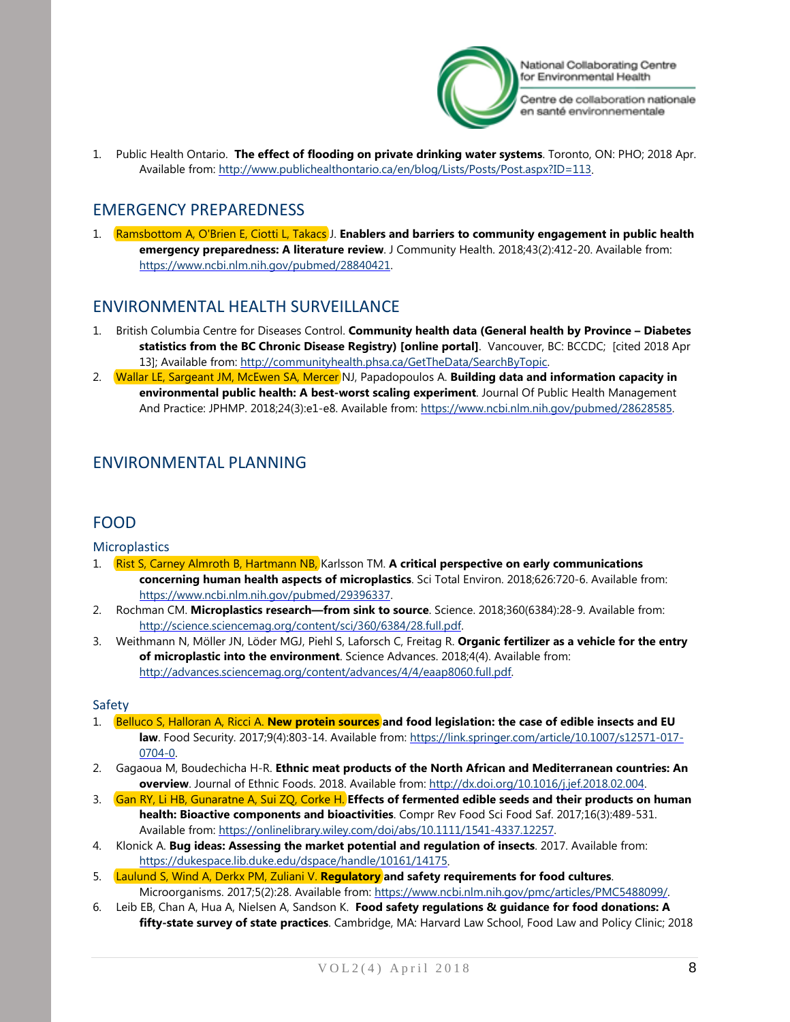

Centre de collaboration nationale en santé environnementale

1. Public Health Ontario. **The effect of flooding on private drinking water systems**. Toronto, ON: PHO; 2018 Apr. Available from[: http://www.publichealthontario.ca/en/blog/Lists/Posts/Post.aspx?ID=113.](http://www.publichealthontario.ca/en/blog/Lists/Posts/Post.aspx?ID=113)

## <span id="page-7-0"></span>EMERGENCY PREPAREDNESS

<span id="page-7-1"></span>1. Ramsbottom A, O'Brien E, Ciotti L, Takacs J. **Enablers and barriers to community engagement in public health emergency preparedness: A literature review**. J Community Health. 2018;43(2):412-20. Available from: [https://www.ncbi.nlm.nih.gov/pubmed/28840421.](https://www.ncbi.nlm.nih.gov/pubmed/28840421)

# ENVIRONMENTAL HEALTH SURVEILLANCE

- 1. British Columbia Centre for Diseases Control. **Community health data (General health by Province – Diabetes statistics from the BC Chronic Disease Registry) [online portal]**. Vancouver, BC: BCCDC; [cited 2018 Apr 13]; Available from: [http://communityhealth.phsa.ca/GetTheData/SearchByTopic.](http://communityhealth.phsa.ca/GetTheData/SearchByTopic)
- 2. Wallar LE, Sargeant JM, McEwen SA, Mercer NJ, Papadopoulos A. **Building data and information capacity in environmental public health: A best-worst scaling experiment**. Journal Of Public Health Management And Practice: JPHMP. 2018;24(3):e1-e8. Available from: [https://www.ncbi.nlm.nih.gov/pubmed/28628585.](https://www.ncbi.nlm.nih.gov/pubmed/28628585)

# <span id="page-7-3"></span><span id="page-7-2"></span>ENVIRONMENTAL PLANNING

### FOOD

**Microplastics** 

- 1. Rist S, Carney Almroth B, Hartmann NB, Karlsson TM. **A critical perspective on early communications concerning human health aspects of microplastics**. Sci Total Environ. 2018;626:720-6. Available from: [https://www.ncbi.nlm.nih.gov/pubmed/29396337.](https://www.ncbi.nlm.nih.gov/pubmed/29396337)
- 2. Rochman CM. **Microplastics research—from sink to source**. Science. 2018;360(6384):28-9. Available from: [http://science.sciencemag.org/content/sci/360/6384/28.full.pdf.](http://science.sciencemag.org/content/sci/360/6384/28.full.pdf)
- 3. Weithmann N, Möller JN, Löder MGJ, Piehl S, Laforsch C, Freitag R. **Organic fertilizer as a vehicle for the entry of microplastic into the environment**. Science Advances. 2018;4(4). Available from: [http://advances.sciencemag.org/content/advances/4/4/eaap8060.full.pdf.](http://advances.sciencemag.org/content/advances/4/4/eaap8060.full.pdf)

#### Safety

- 1. Belluco S, Halloran A, Ricci A. **New protein sources and food legislation: the case of edible insects and EU law**. Food Security. 2017;9(4):803-14. Available from: [https://link.springer.com/article/10.1007/s12571-017-](https://link.springer.com/article/10.1007/s12571-017-0704-0) [0704-0.](https://link.springer.com/article/10.1007/s12571-017-0704-0)
- 2. Gagaoua M, Boudechicha H-R. **Ethnic meat products of the North African and Mediterranean countries: An overview**. Journal of Ethnic Foods. 2018. Available from: [http://dx.doi.org/10.1016/j.jef.2018.02.004.](http://dx.doi.org/10.1016/j.jef.2018.02.004)
- 3. Gan RY, Li HB, Gunaratne A, Sui ZQ, Corke H. **Effects of fermented edible seeds and their products on human health: Bioactive components and bioactivities**. Compr Rev Food Sci Food Saf. 2017;16(3):489-531. Available from[: https://onlinelibrary.wiley.com/doi/abs/10.1111/1541-4337.12257.](https://onlinelibrary.wiley.com/doi/abs/10.1111/1541-4337.12257)
- 4. Klonick A. **Bug ideas: Assessing the market potential and regulation of insects**. 2017. Available from: [https://dukespace.lib.duke.edu/dspace/handle/10161/14175.](https://dukespace.lib.duke.edu/dspace/handle/10161/14175)
- 5. Laulund S, Wind A, Derkx PM, Zuliani V. **Regulatory and safety requirements for food cultures**. Microorganisms. 2017;5(2):28. Available from: [https://www.ncbi.nlm.nih.gov/pmc/articles/PMC5488099/.](https://www.ncbi.nlm.nih.gov/pmc/articles/PMC5488099/)
- 6. Leib EB, Chan A, Hua A, Nielsen A, Sandson K. **Food safety regulations & guidance for food donations: A fifty-state survey of state practices**. Cambridge, MA: Harvard Law School, Food Law and Policy Clinic; 2018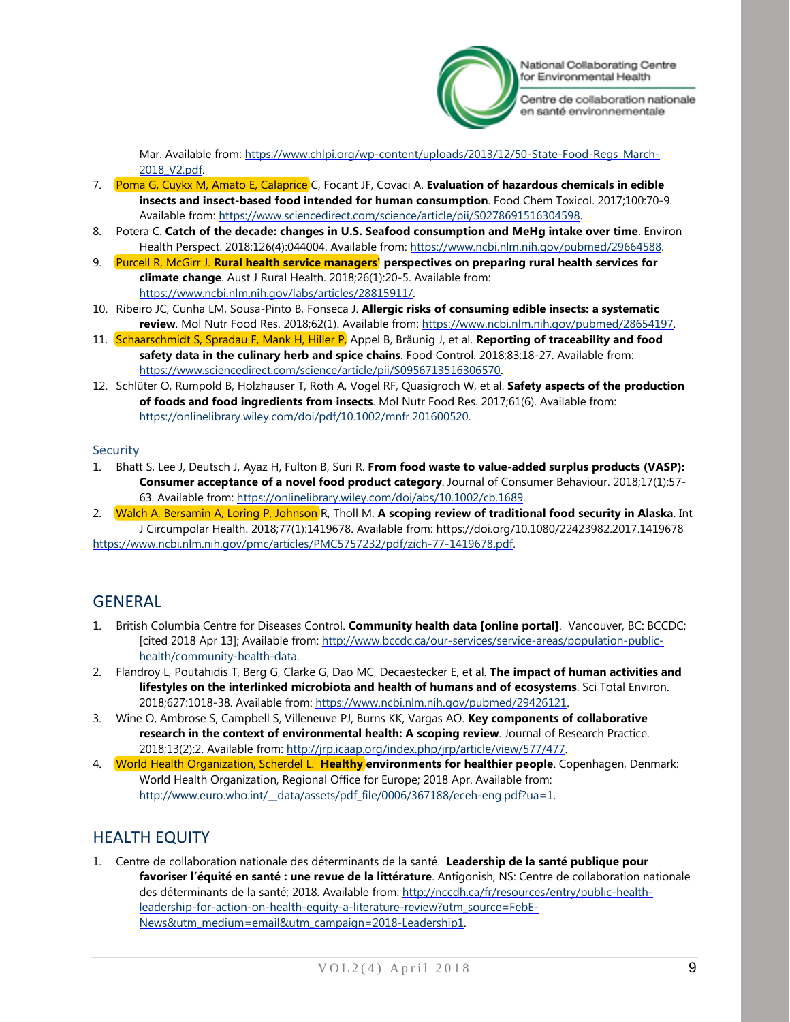

Centre de collaboration nationale en santé environnementale

Mar. Available from: [https://www.chlpi.org/wp-content/uploads/2013/12/50-State-Food-Regs\\_March-](https://www.chlpi.org/wp-content/uploads/2013/12/50-State-Food-Regs_March-2018_V2.pdf)[2018\\_V2.pdf.](https://www.chlpi.org/wp-content/uploads/2013/12/50-State-Food-Regs_March-2018_V2.pdf)

- 7. Poma G, Cuykx M, Amato E, Calaprice C, Focant JF, Covaci A. **Evaluation of hazardous chemicals in edible insects and insect-based food intended for human consumption**. Food Chem Toxicol. 2017;100:70-9. Available from[: https://www.sciencedirect.com/science/article/pii/S0278691516304598.](https://www.sciencedirect.com/science/article/pii/S0278691516304598)
- 8. Potera C. **Catch of the decade: changes in U.S. Seafood consumption and MeHg intake over time**. Environ Health Perspect. 2018;126(4):044004. Available from: [https://www.ncbi.nlm.nih.gov/pubmed/29664588.](https://www.ncbi.nlm.nih.gov/pubmed/29664588)
- 9. Purcell R, McGirr J. **Rural health service managers' perspectives on preparing rural health services for climate change**. Aust J Rural Health. 2018;26(1):20-5. Available from: [https://www.ncbi.nlm.nih.gov/labs/articles/28815911/.](https://www.ncbi.nlm.nih.gov/labs/articles/28815911/)
- 10. Ribeiro JC, Cunha LM, Sousa-Pinto B, Fonseca J. **Allergic risks of consuming edible insects: a systematic review**. Mol Nutr Food Res. 2018;62(1). Available from: [https://www.ncbi.nlm.nih.gov/pubmed/28654197.](https://www.ncbi.nlm.nih.gov/pubmed/28654197)
- 11. Schaarschmidt S, Spradau F, Mank H, Hiller P, Appel B, Bräunig J, et al. **Reporting of traceability and food safety data in the culinary herb and spice chains**. Food Control. 2018;83:18-27. Available from: [https://www.sciencedirect.com/science/article/pii/S0956713516306570.](https://www.sciencedirect.com/science/article/pii/S0956713516306570)
- 12. Schlüter O, Rumpold B, Holzhauser T, Roth A, Vogel RF, Quasigroch W, et al. **Safety aspects of the production of foods and food ingredients from insects**. Mol Nutr Food Res. 2017;61(6). Available from: [https://onlinelibrary.wiley.com/doi/pdf/10.1002/mnfr.201600520.](https://onlinelibrary.wiley.com/doi/pdf/10.1002/mnfr.201600520)

#### **Security**

- 1. Bhatt S, Lee J, Deutsch J, Ayaz H, Fulton B, Suri R. **From food waste to value-added surplus products (VASP): Consumer acceptance of a novel food product category**. Journal of Consumer Behaviour. 2018;17(1):57- 63. Available from: [https://onlinelibrary.wiley.com/doi/abs/10.1002/cb.1689.](https://onlinelibrary.wiley.com/doi/abs/10.1002/cb.1689)
- 2. Walch A, Bersamin A, Loring P, Johnson R, Tholl M. **A scoping review of traditional food security in Alaska**. Int J Circumpolar Health. 2018;77(1):1419678. Available from: https://doi.org/10.1080/22423982.2017.1419678 [https://www.ncbi.nlm.nih.gov/pmc/articles/PMC5757232/pdf/zich-77-1419678.pdf.](https://www.ncbi.nlm.nih.gov/pmc/articles/PMC5757232/pdf/zich-77-1419678.pdf)

# <span id="page-8-0"></span>**GENERAL**

- 1. British Columbia Centre for Diseases Control. **Community health data [online portal]**. Vancouver, BC: BCCDC; [cited 2018 Apr 13]; Available from[: http://www.bccdc.ca/our-services/service-areas/population-public](http://www.bccdc.ca/our-services/service-areas/population-public-health/community-health-data)[health/community-health-data.](http://www.bccdc.ca/our-services/service-areas/population-public-health/community-health-data)
- 2. Flandroy L, Poutahidis T, Berg G, Clarke G, Dao MC, Decaestecker E, et al. **The impact of human activities and lifestyles on the interlinked microbiota and health of humans and of ecosystems**. Sci Total Environ. 2018;627:1018-38. Available from[: https://www.ncbi.nlm.nih.gov/pubmed/29426121.](https://www.ncbi.nlm.nih.gov/pubmed/29426121)
- 3. Wine O, Ambrose S, Campbell S, Villeneuve PJ, Burns KK, Vargas AO. **Key components of collaborative research in the context of environmental health: A scoping review**. Journal of Research Practice. 2018;13(2):2. Available from: [http://jrp.icaap.org/index.php/jrp/article/view/577/477.](http://jrp.icaap.org/index.php/jrp/article/view/577/477)
- 4. World Health Organization, Scherdel L. **Healthy environments for healthier people**. Copenhagen, Denmark: World Health Organization, Regional Office for Europe; 2018 Apr. Available from: http://www.euro.who.int/\_data/assets/pdf\_file/0006/367188/eceh-eng.pdf?ua=1.

# <span id="page-8-1"></span>HEALTH EQUITY

1. Centre de collaboration nationale des déterminants de la santé. **Leadership de la santé publique pour favoriser l'équité en santé : une revue de la littérature**. Antigonish, NS: Centre de collaboration nationale des déterminants de la santé; 2018. Available from: [http://nccdh.ca/fr/resources/entry/public-health](http://nccdh.ca/fr/resources/entry/public-health-leadership-for-action-on-health-equity-a-literature-review?utm_source=FebE-News&utm_medium=email&utm_campaign=2018-Leadership1)[leadership-for-action-on-health-equity-a-literature-review?utm\\_source=FebE-](http://nccdh.ca/fr/resources/entry/public-health-leadership-for-action-on-health-equity-a-literature-review?utm_source=FebE-News&utm_medium=email&utm_campaign=2018-Leadership1)[News&utm\\_medium=email&utm\\_campaign=2018-Leadership1.](http://nccdh.ca/fr/resources/entry/public-health-leadership-for-action-on-health-equity-a-literature-review?utm_source=FebE-News&utm_medium=email&utm_campaign=2018-Leadership1)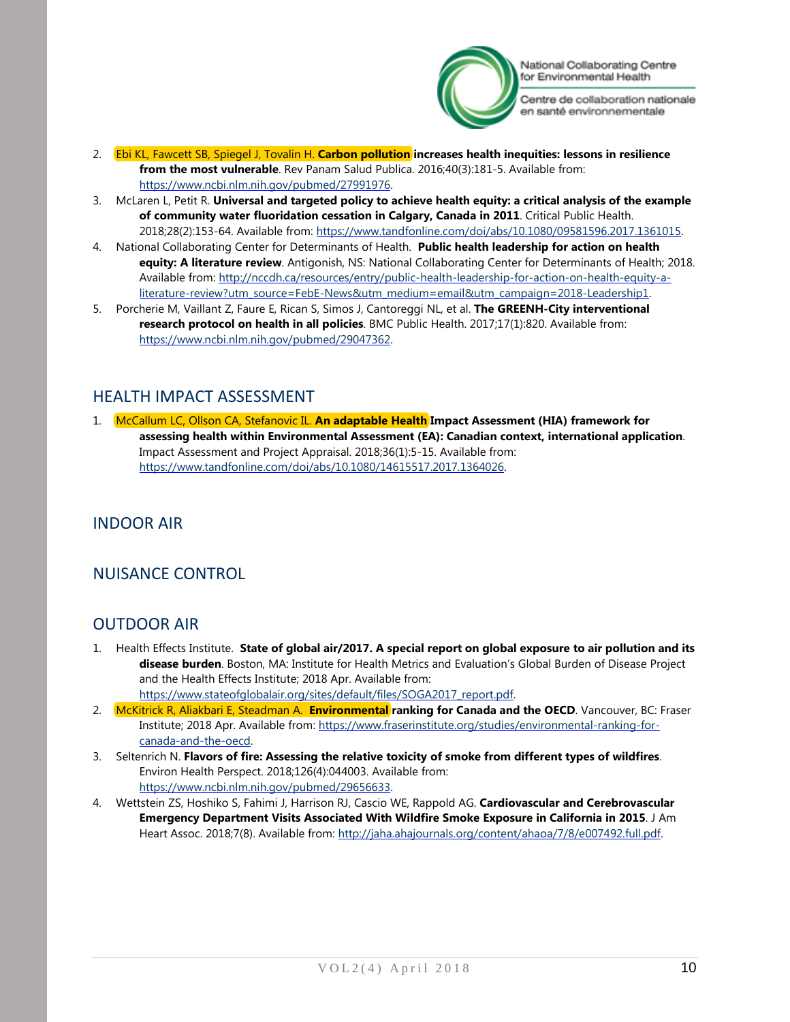

Centre de collaboration nationale en santé environnementale

- 2. Ebi KL, Fawcett SB, Spiegel J, Tovalin H. **Carbon pollution increases health inequities: lessons in resilience from the most vulnerable**. Rev Panam Salud Publica. 2016;40(3):181-5. Available from: [https://www.ncbi.nlm.nih.gov/pubmed/27991976.](https://www.ncbi.nlm.nih.gov/pubmed/27991976)
- 3. McLaren L, Petit R. **Universal and targeted policy to achieve health equity: a critical analysis of the example of community water fluoridation cessation in Calgary, Canada in 2011**. Critical Public Health. 2018;28(2):153-64. Available from: [https://www.tandfonline.com/doi/abs/10.1080/09581596.2017.1361015.](https://www.tandfonline.com/doi/abs/10.1080/09581596.2017.1361015)
- 4. National Collaborating Center for Determinants of Health. **Public health leadership for action on health equity: A literature review**. Antigonish, NS: National Collaborating Center for Determinants of Health; 2018. Available from[: http://nccdh.ca/resources/entry/public-health-leadership-for-action-on-health-equity-a](http://nccdh.ca/resources/entry/public-health-leadership-for-action-on-health-equity-a-literature-review?utm_source=FebE-News&utm_medium=email&utm_campaign=2018-Leadership1)[literature-review?utm\\_source=FebE-News&utm\\_medium=email&utm\\_campaign=2018-Leadership1.](http://nccdh.ca/resources/entry/public-health-leadership-for-action-on-health-equity-a-literature-review?utm_source=FebE-News&utm_medium=email&utm_campaign=2018-Leadership1)
- 5. Porcherie M, Vaillant Z, Faure E, Rican S, Simos J, Cantoreggi NL, et al. **The GREENH-City interventional research protocol on health in all policies**. BMC Public Health. 2017;17(1):820. Available from: [https://www.ncbi.nlm.nih.gov/pubmed/29047362.](https://www.ncbi.nlm.nih.gov/pubmed/29047362)

## <span id="page-9-0"></span>HEALTH IMPACT ASSESSMENT

<span id="page-9-1"></span>1. McCallum LC, Ollson CA, Stefanovic IL. **An adaptable Health Impact Assessment (HIA) framework for assessing health within Environmental Assessment (EA): Canadian context, international application**. Impact Assessment and Project Appraisal. 2018;36(1):5-15. Available from: [https://www.tandfonline.com/doi/abs/10.1080/14615517.2017.1364026.](https://www.tandfonline.com/doi/abs/10.1080/14615517.2017.1364026)

### INDOOR AIR

# <span id="page-9-2"></span>NUISANCE CONTROL

### <span id="page-9-3"></span>OUTDOOR AIR

- 1. Health Effects Institute. **State of global air/2017. A special report on global exposure to air pollution and its disease burden**. Boston, MA: Institute for Health Metrics and Evaluation's Global Burden of Disease Project and the Health Effects Institute; 2018 Apr. Available from: [https://www.stateofglobalair.org/sites/default/files/SOGA2017\\_report.pdf.](https://www.stateofglobalair.org/sites/default/files/SOGA2017_report.pdf)
- 2. McKitrick R, Aliakbari E, Steadman A. **Environmental ranking for Canada and the OECD**. Vancouver, BC: Fraser Institute; 2018 Apr. Available from: [https://www.fraserinstitute.org/studies/environmental-ranking-for](https://www.fraserinstitute.org/studies/environmental-ranking-for-canada-and-the-oecd)[canada-and-the-oecd.](https://www.fraserinstitute.org/studies/environmental-ranking-for-canada-and-the-oecd)
- 3. Seltenrich N. **Flavors of fire: Assessing the relative toxicity of smoke from different types of wildfires**. Environ Health Perspect. 2018;126(4):044003. Available from: [https://www.ncbi.nlm.nih.gov/pubmed/29656633.](https://www.ncbi.nlm.nih.gov/pubmed/29656633)
- 4. Wettstein ZS, Hoshiko S, Fahimi J, Harrison RJ, Cascio WE, Rappold AG. **Cardiovascular and Cerebrovascular Emergency Department Visits Associated With Wildfire Smoke Exposure in California in 2015**. J Am Heart Assoc. 2018;7(8). Available from: [http://jaha.ahajournals.org/content/ahaoa/7/8/e007492.full.pdf.](http://jaha.ahajournals.org/content/ahaoa/7/8/e007492.full.pdf)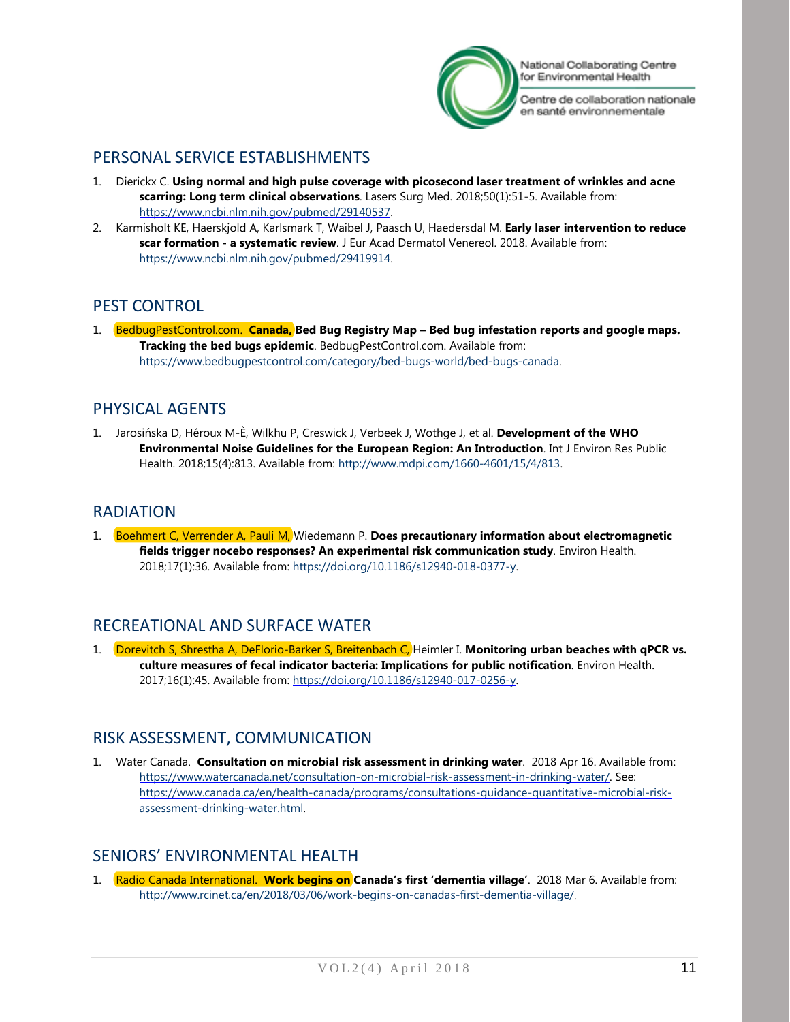

Centre de collaboration nationale en santé environnementale

# <span id="page-10-0"></span>PERSONAL SERVICE ESTABLISHMENTS

- 1. Dierickx C. **Using normal and high pulse coverage with picosecond laser treatment of wrinkles and acne scarring: Long term clinical observations**. Lasers Surg Med. 2018;50(1):51-5. Available from: [https://www.ncbi.nlm.nih.gov/pubmed/29140537.](https://www.ncbi.nlm.nih.gov/pubmed/29140537)
- 2. Karmisholt KE, Haerskjold A, Karlsmark T, Waibel J, Paasch U, Haedersdal M. **Early laser intervention to reduce scar formation - a systematic review**. J Eur Acad Dermatol Venereol. 2018. Available from: [https://www.ncbi.nlm.nih.gov/pubmed/29419914.](https://www.ncbi.nlm.nih.gov/pubmed/29419914)

## <span id="page-10-1"></span>PEST CONTROL

1. BedbugPestControl.com. **Canada, Bed Bug Registry Map – Bed bug infestation reports and google maps. Tracking the bed bugs epidemic**. BedbugPestControl.com. Available from: [https://www.bedbugpestcontrol.com/category/bed-bugs-world/bed-bugs-canada.](https://www.bedbugpestcontrol.com/category/bed-bugs-world/bed-bugs-canada)

## <span id="page-10-2"></span>PHYSICAL AGENTS

1. Jarosińska D, Héroux M-È, Wilkhu P, Creswick J, Verbeek J, Wothge J, et al. **Development of the WHO Environmental Noise Guidelines for the European Region: An Introduction**. Int J Environ Res Public Health. 2018;15(4):813. Available from: [http://www.mdpi.com/1660-4601/15/4/813.](http://www.mdpi.com/1660-4601/15/4/813)

### <span id="page-10-3"></span>RADIATION

1. Boehmert C, Verrender A, Pauli M, Wiedemann P. **Does precautionary information about electromagnetic fields trigger nocebo responses? An experimental risk communication study**. Environ Health. 2018;17(1):36. Available from: [https://doi.org/10.1186/s12940-018-0377-y.](https://doi.org/10.1186/s12940-018-0377-y)

# <span id="page-10-4"></span>RECREATIONAL AND SURFACE WATER

1. Dorevitch S, Shrestha A, DeFlorio-Barker S, Breitenbach C, Heimler I. **Monitoring urban beaches with qPCR vs. culture measures of fecal indicator bacteria: Implications for public notification**. Environ Health. 2017;16(1):45. Available from: [https://doi.org/10.1186/s12940-017-0256-y.](https://doi.org/10.1186/s12940-017-0256-y)

### <span id="page-10-5"></span>RISK ASSESSMENT, COMMUNICATION

1. Water Canada. **Consultation on microbial risk assessment in drinking water**. 2018 Apr 16. Available from: [https://www.watercanada.net/consultation-on-microbial-risk-assessment-in-drinking-water/.](https://www.watercanada.net/consultation-on-microbial-risk-assessment-in-drinking-water/) See: [https://www.canada.ca/en/health-canada/programs/consultations-guidance-quantitative-microbial-risk](https://www.canada.ca/en/health-canada/programs/consultations-guidance-quantitative-microbial-risk-assessment-drinking-water.html)[assessment-drinking-water.html.](https://www.canada.ca/en/health-canada/programs/consultations-guidance-quantitative-microbial-risk-assessment-drinking-water.html)

### <span id="page-10-6"></span>SENIORS' ENVIRONMENTAL HEALTH

1. Radio Canada International. **Work begins on Canada's first 'dementia village'**. 2018 Mar 6. Available from: [http://www.rcinet.ca/en/2018/03/06/work-begins-on-canadas-first-dementia-village/.](http://www.rcinet.ca/en/2018/03/06/work-begins-on-canadas-first-dementia-village/)